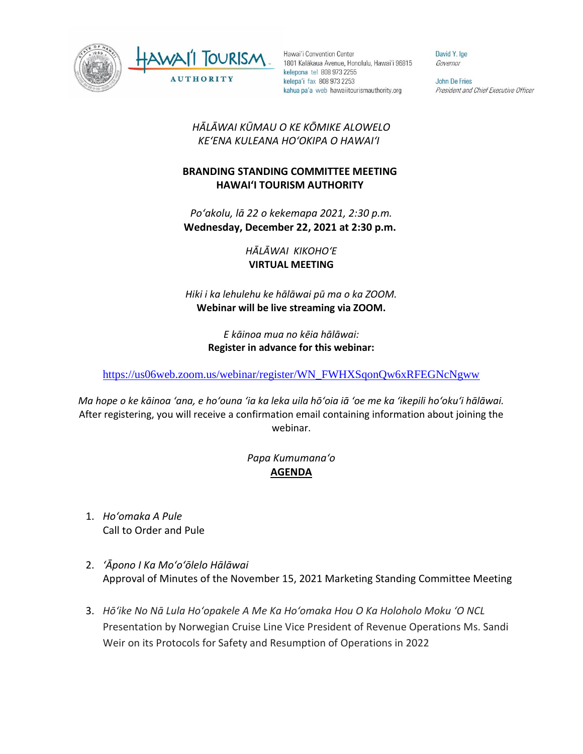



Hawai'i Convention Center 1801 Kalākaua Avenue, Honolulu, Hawai'i 96815 kelepona tel 808 973 2255 kelepa'i fax 808 973 2253 kahua pa'a web hawaiitourismauthority.org

David Y. Ige Governor

John De Fries President and Chief Executive Officer

## *HĀLĀWAI KŪMAU O KE KŌMIKE ALOWELO KEʻENA KULEANA HOʻOKIPA O HAWAIʻI*

## **BRANDING STANDING COMMITTEE MEETING HAWAI'I TOURISM AUTHORITY**

*Poʻakolu, lā 22 o kekemapa 2021, 2:30 p.m.* **Wednesday, December 22, 2021 at 2:30 p.m.**

> *HĀLĀWAI KIKOHOʻE* **VIRTUAL MEETING**

*Hiki i ka lehulehu ke hālāwai pū ma o ka ZOOM.*  **Webinar will be live streaming via ZOOM.**

> *E kāinoa mua no kēia hālāwai:* **Register in advance for this webinar:**

[https://us06web.zoom.us/webinar/register/WN\\_FWHXSqonQw6xRFEGNcNgww](https://us06web.zoom.us/webinar/register/WN_FWHXSqonQw6xRFEGNcNgww)

*Ma hope o ke kāinoa ʻana, e hoʻouna ʻia ka leka uila hōʻoia iā ʻoe me ka ʻikepili hoʻokuʻi hālāwai.* After registering, you will receive a confirmation email containing information about joining the webinar.

## *Papa Kumumanaʻo* **AGENDA**

- 1. *Hoʻomaka A Pule* Call to Order and Pule
- 2. *ʻĀpono I Ka Moʻoʻōlelo Hālāwai* Approval of Minutes of the November 15, 2021 Marketing Standing Committee Meeting
- 3. *Hōʻike No Nā Lula Hoʻopakele A Me Ka Hoʻomaka Hou O Ka Holoholo Moku ʻO NCL* Presentation by Norwegian Cruise Line Vice President of Revenue Operations Ms. Sandi Weir on its Protocols for Safety and Resumption of Operations in 2022